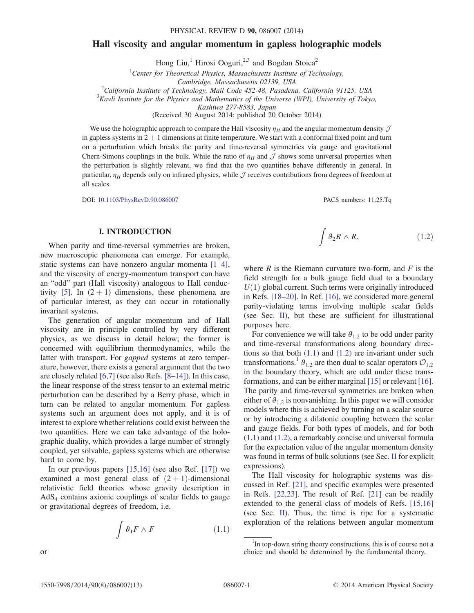# Hall viscosity and angular momentum in gapless holographic models

Hong Liu,<sup>1</sup> Hirosi Ooguri,<sup>2,3</sup> and Bogdan Stoica<sup>2</sup>

 ${}^{1}$ Center for Theoretical Physics, Massachusetts Institute of Technology,

<sup>2</sup>California Institute of Technology, Mail Code 452-48, Pasadena, California 91125, USA<br><sup>3</sup>Kayli Institute for the Physics and Mathematics of the Universe (WPL), University of Tolyy

 ${}^{3}$ Kavli Institute for the Physics and Mathematics of the Universe (WPI), University of Tokyo,

Kashiwa 277-8583, Japan

(Received 30 August 2014; published 20 October 2014)

We use the holographic approach to compare the Hall viscosity  $\eta_H$  and the angular momentum density  $\mathcal J$ in gapless systems in  $2 + 1$  dimensions at finite temperature. We start with a conformal fixed point and turn on a perturbation which breaks the parity and time-reversal symmetries via gauge and gravitational Chern-Simons couplings in the bulk. While the ratio of  $\eta_H$  and  $\mathcal J$  shows some universal properties when the perturbation is slightly relevant, we find that the two quantities behave differently in general. In particular,  $\eta_H$  depends only on infrared physics, while  $\mathcal J$  receives contributions from degrees of freedom at all scales.

DOI: [10.1103/PhysRevD.90.086007](http://dx.doi.org/10.1103/PhysRevD.90.086007) PACS numbers: 11.25.Tq

# I. INTRODUCTION

When parity and time-reversal symmetries are broken, new macroscopic phenomena can emerge. For example, static systems can have nonzero angular momenta [\[1](#page-12-0)–4], and the viscosity of energy-momentum transport can have an "odd" part (Hall viscosity) analogous to Hall conduc-tivity [\[5\]](#page-12-1). In  $(2 + 1)$  dimensions, these phenomena are of particular interest, as they can occur in rotationally invariant systems.

The generation of angular momentum and of Hall viscosity are in principle controlled by very different physics, as we discuss in detail below; the former is concerned with equilibrium thermodynamics, while the latter with transport. For gapped systems at zero temperature, however, there exists a general argument that the two are closely related [\[6,7\]](#page-12-2) (see also Refs. [8–[14\]](#page-12-3)). In this case, the linear response of the stress tensor to an external metric perturbation can be described by a Berry phase, which in turn can be related to angular momentum. For gapless systems such an argument does not apply, and it is of interest to explore whether relations could exist between the two quantities. Here we can take advantage of the holographic duality, which provides a large number of strongly coupled, yet solvable, gapless systems which are otherwise hard to come by.

<span id="page-0-0"></span>In our previous papers  $[15,16]$  (see also Ref.  $[17]$ ) we examined a most general class of  $(2 + 1)$ -dimensional relativistic field theories whose gravity description in AdS<sup>4</sup> contains axionic couplings of scalar fields to gauge or gravitational degrees of freedom, i.e.

$$
\int \vartheta_1 F \wedge F \tag{1.1}
$$

$$
\int \vartheta_2 R \wedge R, \tag{1.2}
$$

where  $R$  is the Riemann curvature two-form, and  $F$  is the field strength for a bulk gauge field dual to a boundary  $U(1)$  global current. Such terms were originally introduced in Refs. [\[18](#page-12-6)–20]. In Ref. [\[16\],](#page-12-7) we considered more general parity-violating terms involving multiple scalar fields (see Sec. [II\)](#page-1-0), but these are sufficient for illustrational purposes here.

For convenience we will take  $\theta_{1,2}$  to be odd under parity and time-reversal transformations along boundary directions so that both  $(1.1)$  and  $(1.2)$  are invariant under such transformations.<sup>1</sup>  $\vartheta_{1,2}$  are then dual to scalar operators  $\mathcal{O}_{1,2}$ in the boundary theory, which are odd under these transformations, and can be either marginal [\[15\]](#page-12-4) or relevant [\[16\]](#page-12-7). The parity and time-reversal symmetries are broken when either of  $\vartheta_1$ , is nonvanishing. In this paper we will consider models where this is achieved by turning on a scalar source or by introducing a dilatonic coupling between the scalar and gauge fields. For both types of models, and for both [\(1.1\)](#page-0-0) and [\(1.2\),](#page-0-1) a remarkably concise and universal formula for the expectation value of the angular momentum density was found in terms of bulk solutions (see Sec. [II](#page-1-0) for explicit expressions).

The Hall viscosity for holographic systems was discussed in Ref. [\[21\]](#page-12-8), and specific examples were presented in Refs. [\[22,23\]](#page-12-9). The result of Ref. [\[21\]](#page-12-8) can be readily extended to the general class of models of Refs. [\[15,16\]](#page-12-4) (see Sec. [II](#page-1-0)). Thus, the time is ripe for a systematic exploration of the relations between angular momentum

<span id="page-0-1"></span>or

Cambridge, Massachusetts 02139, USA<br><sup>2</sup>California Institute of Technology, Mail Code 452.48, Basadan

<sup>&</sup>lt;sup>1</sup>In top-down string theory constructions, this is of course not a choice and should be determined by the fundamental theory.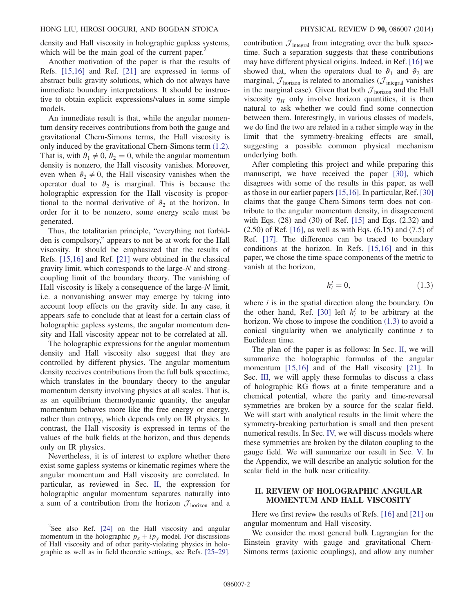density and Hall viscosity in holographic gapless systems, which will be the main goal of the current paper.

Another motivation of the paper is that the results of Refs. [\[15,16\]](#page-12-4) and Ref. [\[21\]](#page-12-8) are expressed in terms of abstract bulk gravity solutions, which do not always have immediate boundary interpretations. It should be instructive to obtain explicit expressions/values in some simple models.

An immediate result is that, while the angular momentum density receives contributions from both the gauge and gravitational Chern-Simons terms, the Hall viscosity is only induced by the gravitational Chern-Simons term [\(1.2\)](#page-0-1). That is, with  $\theta_1 \neq 0$ ,  $\theta_2 = 0$ , while the angular momentum density is nonzero, the Hall viscosity vanishes. Moreover, even when  $\vartheta_2 \neq 0$ , the Hall viscosity vanishes when the operator dual to  $\vartheta_2$  is marginal. This is because the holographic expression for the Hall viscosity is proportional to the normal derivative of  $\vartheta_2$  at the horizon. In order for it to be nonzero, some energy scale must be generated.

Thus, the totalitarian principle, "everything not forbidden is compulsory," appears to not be at work for the Hall viscosity. It should be emphasized that the results of Refs. [\[15,16\]](#page-12-4) and Ref. [\[21\]](#page-12-8) were obtained in the classical gravity limit, which corresponds to the large-N and strongcoupling limit of the boundary theory. The vanishing of Hall viscosity is likely a consequence of the large-N limit, i.e. a nonvanishing answer may emerge by taking into account loop effects on the gravity side. In any case, it appears safe to conclude that at least for a certain class of holographic gapless systems, the angular momentum density and Hall viscosity appear not to be correlated at all.

The holographic expressions for the angular momentum density and Hall viscosity also suggest that they are controlled by different physics. The angular momentum density receives contributions from the full bulk spacetime, which translates in the boundary theory to the angular momentum density involving physics at all scales. That is, as an equilibrium thermodynamic quantity, the angular momentum behaves more like the free energy or energy, rather than entropy, which depends only on IR physics. In contrast, the Hall viscosity is expressed in terms of the values of the bulk fields at the horizon, and thus depends only on IR physics.

Nevertheless, it is of interest to explore whether there exist some gapless systems or kinematic regimes where the angular momentum and Hall viscosity are correlated. In particular, as reviewed in Sec. [II,](#page-1-0) the expression for holographic angular momentum separates naturally into a sum of a contribution from the horizon  $\mathcal{J}_{horizon}$  and a contribution  $\mathcal{J}_{\text{integral}}$  from integrating over the bulk spacetime. Such a separation suggests that these contributions may have different physical origins. Indeed, in Ref. [\[16\]](#page-12-7) we showed that, when the operators dual to  $\theta_1$  and  $\theta_2$  are marginal,  $\mathcal{J}_{horizon}$  is related to anomalies ( $\mathcal{J}_{integral}$  vanishes in the marginal case). Given that both  $\mathcal{J}_{horizon}$  and the Hall viscosity  $\eta_H$  only involve horizon quantities, it is then natural to ask whether we could find some connection between them. Interestingly, in various classes of models, we do find the two are related in a rather simple way in the limit that the symmetry-breaking effects are small, suggesting a possible common physical mechanism underlying both.

After completing this project and while preparing this manuscript, we have received the paper [\[30\],](#page-12-10) which disagrees with some of the results in this paper, as well as those in our earlier papers [\[15,16\].](#page-12-4) In particular, Ref. [\[30\]](#page-12-10) claims that the gauge Chern-Simons term does not contribute to the angular momentum density, in disagreement with Eqs. (28) and (30) of Ref. [\[15\]](#page-12-4) and Eqs. (2.32) and  $(2.50)$  of Ref. [\[16\],](#page-12-7) as well as with Eqs.  $(6.15)$  and  $(7.5)$  of Ref. [\[17\]](#page-12-5). The difference can be traced to boundary conditions at the horizon. In Refs. [\[15,16\]](#page-12-4) and in this paper, we chose the time-space components of the metric to vanish at the horizon,

$$
h_t^i = 0,\t\t(1.3)
$$

<span id="page-1-1"></span>where  $i$  is in the spatial direction along the boundary. On the other hand, Ref. [\[30\]](#page-12-10) left  $h_t^i$  to be arbitrary at the horizon. We chose to impose the condition  $(1.3)$  to avoid a conical singularity when we analytically continue  $t$  to Euclidean time.

The plan of the paper is as follows: In Sec. [II](#page-1-0), we will summarize the holographic formulas of the angular momentum [\[15,16\]](#page-12-4) and of the Hall viscosity [\[21\].](#page-12-8) In Sec. [III](#page-3-0), we will apply these formulas to discuss a class of holographic RG flows at a finite temperature and a chemical potential, where the parity and time-reversal symmetries are broken by a source for the scalar field. We will start with analytical results in the limit where the symmetry-breaking perturbation is small and then present numerical results. In Sec. [IV,](#page-8-0) we will discuss models where these symmetries are broken by the dilaton coupling to the gauge field. We will summarize our result in Sec. [V.](#page-10-0) In the Appendix, we will describe an analytic solution for the scalar field in the bulk near criticality.

# <span id="page-1-0"></span>II. REVIEW OF HOLOGRAPHIC ANGULAR MOMENTUM AND HALL VISCOSITY

Here we first review the results of Refs. [\[16\]](#page-12-7) and [\[21\]](#page-12-8) on angular momentum and Hall viscosity.

We consider the most general bulk Lagrangian for the Einstein gravity with gauge and gravitational Chern-Simons terms (axionic couplings), and allow any number

 $2$ See also Ref. [\[24\]](#page-12-11) on the Hall viscosity and angular momentum in the holographic  $p_x + ip_y$  model. For discussions of Hall viscosity and of other parity-violating physics in holographic as well as in field theoretic settings, see Refs. [25–[29\].](#page-12-12)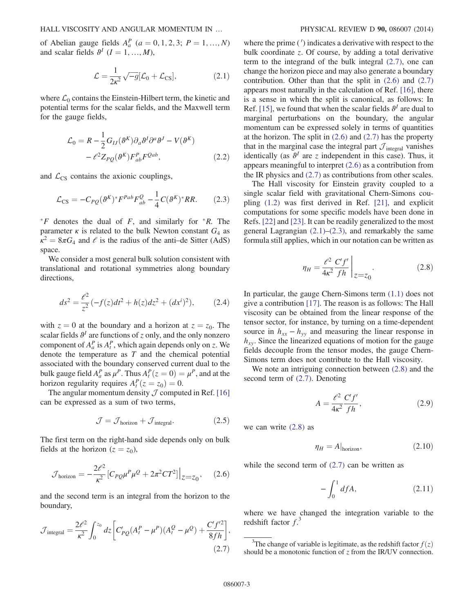<span id="page-2-2"></span>of Abelian gauge fields  $A_a^P$  ( $a = 0, 1, 2, 3; P = 1, ..., N$ ) and scalar fields  $\vartheta^I$  ( $I = 1, ..., M$ ),

$$
\mathcal{L} = \frac{1}{2\kappa^2} \sqrt{-g} [\mathcal{L}_0 + \mathcal{L}_{\text{CS}}],\tag{2.1}
$$

<span id="page-2-7"></span>where  $\mathcal{L}_0$  contains the Einstein-Hilbert term, the kinetic and potential terms for the scalar fields, and the Maxwell term for the gauge fields,

$$
\mathcal{L}_0 = R - \frac{1}{2} G_{IJ} (\vartheta^K) \partial_a \vartheta^I \partial^a \vartheta^J - V (\vartheta^K) \n- \ell^2 Z_{PQ} (\vartheta^K) F_{ab}^P F^{Qab},
$$
\n(2.2)

<span id="page-2-3"></span>and  $\mathcal{L}_{CS}$  contains the axionic couplings,

$$
\mathcal{L}_{CS} = -C_{PQ}(\vartheta^K)^* F^{Pab} F_{ab}^Q - \frac{1}{4} C(\vartheta^K)^* RR. \tag{2.3}
$$

 $*F$  denotes the dual of F, and similarly for  $*R$ . The parameter  $\kappa$  is related to the bulk Newton constant  $G_4$  as  $\kappa^2 = 8\pi G_4$  and  $\ell$  is the radius of the anti–de Sitter (AdS) space.

<span id="page-2-6"></span>We consider a most general bulk solution consistent with translational and rotational symmetries along boundary directions,

$$
ds^{2} = \frac{\ell^{2}}{z^{2}}(-f(z)dt^{2} + h(z)dz^{2} + (dx^{i})^{2}),
$$
 (2.4)

with  $z = 0$  at the boundary and a horizon at  $z = z_0$ . The scalar fields  $\vartheta^I$  are functions of z only, and the only nonzero component of  $A_a^P$  is  $A_t^P$ , which again depends only on z. We denote the temperature as  $T$  and the chemical potential associated with the boundary conserved current dual to the bulk gauge field  $A_a^P$  as  $\mu^P$ . Thus  $A_t^P(z=0) = \mu^P$ , and at the horizon regularity requires  $A_t^P(z = z_0) = 0$ .

<span id="page-2-5"></span>The angular momentum density  $\mathcal J$  computed in Ref. [\[16\]](#page-12-7) can be expressed as a sum of two terms,

$$
\mathcal{J} = \mathcal{J}_{\text{horizon}} + \mathcal{J}_{\text{integral}}.\tag{2.5}
$$

<span id="page-2-1"></span>The first term on the right-hand side depends only on bulk fields at the horizon ( $z = z_0$ ),

$$
\mathcal{J}_{\text{horizon}} = -\frac{2\ell^2}{\kappa^2} \left[ C_{PQ} \mu^P \mu^Q + 2\pi^2 C T^2 \right] \Big|_{z=z_0}, \quad (2.6)
$$

<span id="page-2-0"></span>and the second term is an integral from the horizon to the boundary,

$$
\mathcal{J}_{\text{integral}} = \frac{2\ell^2}{\kappa^2} \int_0^{z_0} dz \bigg[ C_{PQ}'(A_t^P - \mu^P)(A_t^Q - \mu^Q) + \frac{C'f'^2}{8fh} \bigg],\tag{2.7}
$$

where the prime  $(')$  indicates a derivative with respect to the bulk coordinate z. Of course, by adding a total derivative term to the integrand of the bulk integral [\(2.7\)](#page-2-0), one can change the horizon piece and may also generate a boundary contribution. Other than that the split in [\(2.6\)](#page-2-1) and [\(2.7\)](#page-2-0) appears most naturally in the calculation of Ref. [\[16\]](#page-12-7), there is a sense in which the split is canonical, as follows: In Ref. [\[15\]](#page-12-4), we found that when the scalar fields  $\vartheta^I$  are dual to marginal perturbations on the boundary, the angular momentum can be expressed solely in terms of quantities at the horizon. The split in  $(2.6)$  and  $(2.7)$  has the property that in the marginal case the integral part  $\mathcal{J}_{\text{integral}}$  vanishes identically (as  $\vartheta^I$  are z independent in this case). Thus, it appears meaningful to interpret [\(2.6\)](#page-2-1) as a contribution from the IR physics and [\(2.7\)](#page-2-0) as contributions from other scales.

<span id="page-2-4"></span>The Hall viscosity for Einstein gravity coupled to a single scalar field with gravitational Chern-Simons coupling [\(1.2\)](#page-0-1) was first derived in Ref. [\[21\],](#page-12-8) and explicit computations for some specific models have been done in Refs. [\[22\]](#page-12-9) and [\[23\].](#page-12-13) It can be readily generalized to the most general Lagrangian  $(2.1)$ – $(2.3)$ , and remarkably the same formula still applies, which in our notation can be written as

$$
\eta_H = \frac{\ell^2}{4\kappa^2} \frac{C'f'}{fh} \bigg|_{z=z_0}.
$$
\n(2.8)

In particular, the gauge Chern-Simons term [\(1.1\)](#page-0-0) does not give a contribution [\[17\].](#page-12-5) The reason is as follows: The Hall viscosity can be obtained from the linear response of the tensor sector, for instance, by turning on a time-dependent source in  $h_{xx} - h_{yy}$  and measuring the linear response in  $h_{xy}$ . Since the linearized equations of motion for the gauge fields decouple from the tensor modes, the gauge Chern-Simons term does not contribute to the Hall viscosity.

We note an intriguing connection between  $(2.8)$  and the second term of [\(2.7\)](#page-2-0). Denoting

$$
A = \frac{\ell^2}{4\kappa^2} \frac{C'f'}{fh},\tag{2.9}
$$

we can write [\(2.8\)](#page-2-4) as

$$
\eta_H = A|_{\text{horizon}},\tag{2.10}
$$

while the second term of  $(2.7)$  can be written as

$$
-\int_0^1 dfA,\tag{2.11}
$$

where we have changed the integration variable to the redshift factor  $f^3$ .

<sup>&</sup>lt;sup>3</sup>The change of variable is legitimate, as the redshift factor  $f(z)$ should be a monotonic function of z from the IR/UV connection.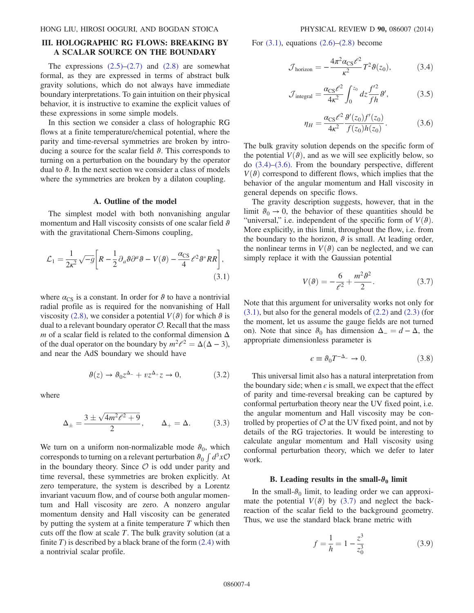# <span id="page-3-0"></span>III. HOLOGRAPHIC RG FLOWS: BREAKING BY A SCALAR SOURCE ON THE BOUNDARY

The expressions  $(2.5)$ – $(2.7)$  and  $(2.8)$  are somewhat formal, as they are expressed in terms of abstract bulk gravity solutions, which do not always have immediate boundary interpretations. To gain intuition on their physical behavior, it is instructive to examine the explicit values of these expressions in some simple models.

In this section we consider a class of holographic RG flows at a finite temperature/chemical potential, where the parity and time-reversal symmetries are broken by introducing a source for the scalar field  $\theta$ . This corresponds to turning on a perturbation on the boundary by the operator dual to  $\theta$ . In the next section we consider a class of models where the symmetries are broken by a dilaton coupling.

#### A. Outline of the model

<span id="page-3-1"></span>The simplest model with both nonvanishing angular momentum and Hall viscosity consists of one scalar field  $\theta$ with the gravitational Chern-Simons coupling,

$$
\mathcal{L}_1 = \frac{1}{2\kappa^2} \sqrt{-g} \bigg[ R - \frac{1}{2} \partial_a \vartheta \partial^a \vartheta - V(\vartheta) - \frac{\alpha_{\rm CS}}{4} \ell^2 \vartheta^* R R \bigg],\tag{3.1}
$$

where  $\alpha_{\text{CS}}$  is a constant. In order for  $\theta$  to have a nontrivial radial profile as is required for the nonvanishing of Hall viscosity [\(2.8\)](#page-2-4), we consider a potential  $V(\theta)$  for which  $\theta$  is dual to a relevant boundary operator  $O$ . Recall that the mass m of a scalar field is related to the conformal dimension  $\Delta$ of the dual operator on the boundary by  $m^2\ell^2 = \Delta(\Delta - 3)$ , and near the AdS boundary we should have

$$
\vartheta(z) \to \vartheta_0 z^{\Delta_-} + v z^{\Delta_+} z \to 0, \tag{3.2}
$$

where

$$
\Delta_{\pm} = \frac{3 \pm \sqrt{4m^2\ell^2 + 9}}{2}, \qquad \Delta_{+} = \Delta. \tag{3.3}
$$

We turn on a uniform non-normalizable mode  $\theta_0$ , which corresponds to turning on a relevant perturbation  $\partial_0 \int d^3x \mathcal{O}$ in the boundary theory. Since  $\mathcal O$  is odd under parity and time reversal, these symmetries are broken explicitly. At zero temperature, the system is described by a Lorentz invariant vacuum flow, and of course both angular momentum and Hall viscosity are zero. A nonzero angular momentum density and Hall viscosity can be generated by putting the system at a finite temperature  $T$  which then cuts off the flow at scale  $T$ . The bulk gravity solution (at a finite  $T$ ) is described by a black brane of the form  $(2.4)$  with a nontrivial scalar profile.

<span id="page-3-6"></span><span id="page-3-2"></span>For  $(3.1)$ , equations  $(2.6)$ – $(2.8)$  become

$$
\mathcal{J}_{\text{horizon}} = -\frac{4\pi^2 \alpha_{\text{CS}}\ell^2}{\kappa^2} T^2 \vartheta(z_0),\tag{3.4}
$$

$$
\mathcal{J}_{\text{integral}} = \frac{\alpha_{\text{CS}}\ell^2}{4\kappa^2} \int_0^{z_0} dz \frac{f'^2}{fh} \vartheta', \tag{3.5}
$$

$$
\eta_H = \frac{\alpha_{\rm CS} \ell^2}{4\kappa^2} \frac{\theta'(z_0) f'(z_0)}{f(z_0) h(z_0)}.
$$
 (3.6)

<span id="page-3-3"></span>The bulk gravity solution depends on the specific form of the potential  $V(\theta)$ , and as we will see explicitly below, so do [\(3.4\)](#page-3-2)–[\(3.6\)](#page-3-3). From the boundary perspective, different  $V(\vartheta)$  correspond to different flows, which implies that the behavior of the angular momentum and Hall viscosity in general depends on specific flows.

The gravity description suggests, however, that in the limit  $\vartheta_0 \to 0$ , the behavior of these quantities should be "universal," i.e. independent of the specific form of  $V(\theta)$ . More explicitly, in this limit, throughout the flow, i.e. from the boundary to the horizon,  $\vartheta$  is small. At leading order, the nonlinear terms in  $V(\theta)$  can be neglected, and we can simply replace it with the Gaussian potential

$$
V(\theta) = -\frac{6}{\ell^2} + \frac{m^2 \theta^2}{2}.
$$
 (3.7)

<span id="page-3-5"></span><span id="page-3-4"></span>Note that this argument for universality works not only for [\(3.1\),](#page-3-1) but also for the general models of [\(2.2\)](#page-2-7) and [\(2.3\)](#page-2-3) (for the moment, let us assume the gauge fields are not turned on). Note that since  $\theta_0$  has dimension  $\Delta = d - \Delta$ , the appropriate dimensionless parameter is

$$
\epsilon \equiv \theta_0 T^{-\Delta_-} \to 0. \tag{3.8}
$$

This universal limit also has a natural interpretation from the boundary side; when  $\epsilon$  is small, we expect that the effect of parity and time-reversal breaking can be captured by conformal perturbation theory near the UV fixed point, i.e. the angular momentum and Hall viscosity may be controlled by properties of  $\mathcal O$  at the UV fixed point, and not by details of the RG trajectories. It would be interesting to calculate angular momentum and Hall viscosity using conformal perturbation theory, which we defer to later work.

### B. Leading results in the small- $\theta_0$  limit

<span id="page-3-7"></span>In the small- $\theta_0$  limit, to leading order we can approximate the potential  $V(\theta)$  by [\(3.7\)](#page-3-4) and neglect the backreaction of the scalar field to the background geometry. Thus, we use the standard black brane metric with

$$
f = \frac{1}{h} = 1 - \frac{z^3}{z_0^3} \tag{3.9}
$$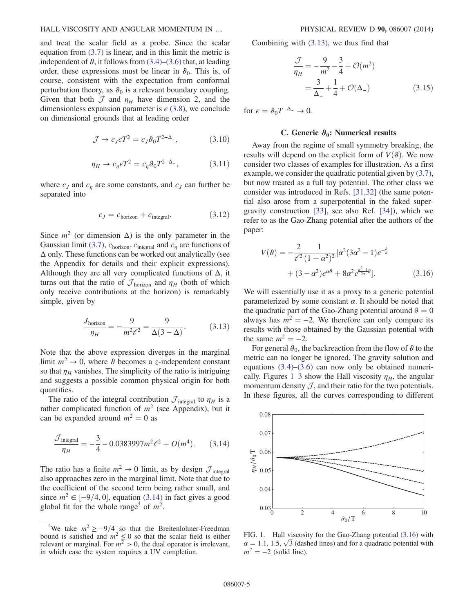and treat the scalar field as a probe. Since the scalar equation from [\(3.7\)](#page-3-4) is linear, and in this limit the metric is independent of  $\vartheta$ , it follows from [\(3.4\)](#page-3-2)–[\(3.6\)](#page-3-3) that, at leading order, these expressions must be linear in  $\vartheta_0$ . This is, of course, consistent with the expectation from conformal perturbation theory, as  $\theta_0$  is a relevant boundary coupling. Given that both  $\mathcal J$  and  $\eta_H$  have dimension 2, and the dimensionless expansion parameter is  $\epsilon$  [\(3.8\)](#page-3-5), we conclude on dimensional grounds that at leading order

<span id="page-4-4"></span>
$$
\mathcal{J} \to c_J \epsilon T^2 = c_J \vartheta_0 T^{2-\Delta_-},\tag{3.10}
$$

$$
\eta_H \to c_\eta \epsilon T^2 = c_\eta \vartheta_0 T^{2-\Delta_-},\tag{3.11}
$$

<span id="page-4-6"></span><span id="page-4-5"></span>where  $c_j$  and  $c_n$  are some constants, and  $c_j$  can further be separated into

$$
c_J = c_{\text{horizon}} + c_{\text{integral}}.\tag{3.12}
$$

<span id="page-4-1"></span>Since  $m^2$  (or dimension  $\Delta$ ) is the only parameter in the Gaussian limit [\(3.7\),](#page-3-4)  $c_{\text{horizon}}$ ,  $c_{\text{integral}}$  and  $c_n$  are functions of Δ only. These functions can be worked out analytically (see the Appendix for details and their explicit expressions). Although they are all very complicated functions of  $\Delta$ , it turns out that the ratio of  $\mathcal{J}_{horizon}$  and  $\eta_H$  (both of which only receive contributions at the horizon) is remarkably simple, given by

$$
\frac{J_{\text{horizon}}}{\eta_H} = -\frac{9}{m^2 \ell^2} = \frac{9}{\Delta(3-\Delta)}.\tag{3.13}
$$

Note that the above expression diverges in the marginal limit  $m^2 \to 0$ , where  $\theta$  becomes a z-independent constant so that  $\eta_H$  vanishes. The simplicity of the ratio is intriguing and suggests a possible common physical origin for both quantities.

<span id="page-4-0"></span>The ratio of the integral contribution  $\mathcal{J}_{\text{integral}}$  to  $\eta_H$  is a rather complicated function of  $m^2$  (see Appendix), but it can be expanded around  $m^2 = 0$  as

$$
\frac{\mathcal{J}_{\text{integral}}}{\eta_H} = -\frac{3}{4} - 0.0383997m^2\ell^2 + O(m^4). \tag{3.14}
$$

The ratio has a finite  $m^2 \to 0$  limit, as by design  $\mathcal{J}_{\text{integral}}$ also approaches zero in the marginal limit. Note that due to the coefficient of the second term being rather small, and since  $m^2 \in [-9/4, 0]$ , equation [\(3.14\)](#page-4-0) in fact gives a good global fit for the whole range<sup>4</sup> of  $m^2$ .

Combining with [\(3.13\)](#page-4-1), we thus find that

$$
\frac{\mathcal{J}}{\eta_H} = -\frac{9}{m^2} - \frac{3}{4} + \mathcal{O}(m^2) \n= \frac{3}{\Delta_-} + \frac{1}{4} + \mathcal{O}(\Delta_-)
$$
\n(3.15)

for  $\epsilon = \vartheta_0 T^{-\Delta_-} \to 0$ .

#### C. Generic  $\vartheta_0$ : Numerical results

Away from the regime of small symmetry breaking, the results will depend on the explicit form of  $V(\theta)$ . We now consider two classes of examples for illustration. As a first example, we consider the quadratic potential given by [\(3.7\)](#page-3-4), but now treated as a full toy potential. The other class we consider was introduced in Refs. [\[31,32\]](#page-12-14) (the same potential also arose from a superpotential in the faked supergravity construction [\[33\],](#page-12-15) see also Ref. [\[34\]](#page-12-16)), which we refer to as the Gao-Zhang potential after the authors of the paper:

<span id="page-4-3"></span>
$$
V(\theta) = -\frac{2}{\ell^2} \frac{1}{(1+\alpha^2)^2} [\alpha^2 (3\alpha^2 - 1)e^{-\frac{\theta}{\alpha}} + (3-\alpha^2)e^{\alpha\theta} + 8\alpha^2 e^{\frac{\alpha^2 - 1}{2\alpha}\theta}].
$$
 (3.16)

We will essentially use it as a proxy to a generic potential parameterized by some constant  $\alpha$ . It should be noted that the quadratic part of the Gao-Zhang potential around  $\theta = 0$ always has  $m^2 = -2$ . We therefore can only compare its results with those obtained by the Gaussian potential with the same  $m^2 = -2$ .

For general  $\theta_0$ , the backreaction from the flow of  $\theta$  to the metric can no longer be ignored. The gravity solution and equations [\(3.4\)](#page-3-2)–[\(3.6\)](#page-3-3) can now only be obtained numeri-cally. Figures 1[–](#page-4-2)3 show the Hall viscosity  $\eta_H$ , the angular momentum density  $\mathcal{J}$ , and their ratio for the two potentials. In these figures, all the curves corresponding to different

<span id="page-4-2"></span>

FIG. 1. Hall viscosity for the Gao-Zhang potential [\(3.16\)](#page-4-3) with  $\alpha = 1.1, 1.5, \sqrt{3}$  (dashed lines) and for a quadratic potential with  $m^2 = -2$  (solid line).

<sup>&</sup>lt;sup>4</sup>We take  $m^2 \ge -9/4$  so that the Breitenlohner-Freedman bound is satisfied and  $m^2 \leq 0$  so that the scalar field is either relevant or marginal. For  $m^2 > 0$ , the dual operator is irrelevant, in which case the system requires a UV completion.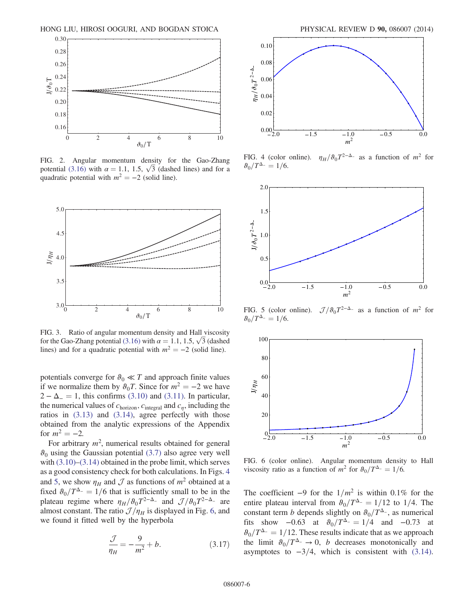

FIG. 2. Angular momentum density for the Gao-Zhang potential [\(3.16\)](#page-4-3) with  $\alpha = 1.1, 1.5, \sqrt{3}$  (dashed lines) and for a quadratic potential with  $m^2 = -2$  (solid line).



FIG. 3. Ratio of angular momentum density and Hall viscosity for the Gao-Zhang potential [\(3.16\)](#page-4-3) with  $\alpha = 1.1, 1.5, \sqrt{3}$  (dashed lines) and for a quadratic potential with  $m^2 = -2$  (solid line).

potentials converge for  $\theta_0 \ll T$  and approach finite values if we normalize them by  $\vartheta_0 T$ . Since for  $m^2 = -2$  we have  $2 - \Delta = 1$ , this confirms [\(3.10\)](#page-4-4) and [\(3.11\)](#page-4-5). In particular, the numerical values of  $c_{\text{horizon}}$ ,  $c_{\text{integral}}$  and  $c_{\eta}$ , including the ratios in  $(3.13)$  and  $(3.14)$ , agree perfectly with those obtained from the analytic expressions of the Appendix for  $m^2 = -2$ .

For arbitrary  $m^2$ , numerical results obtained for general  $\vartheta_0$  using the Gaussian potential [\(3.7\)](#page-3-4) also agree very well with  $(3.10)$ – $(3.14)$  obtained in the probe limit, which serves as a good consistency check for both calculations. In Figs. [4](#page-5-0) and [5](#page-5-1), we show  $\eta_H$  and  $\mathcal J$  as functions of  $m^2$  obtained at a fixed  $\partial_0/T^{\Delta_-} = 1/6$  that is sufficiently small to be in the plateau regime where  $\eta_H/\vartheta_0 T^{2-\Delta_-}$  and  $\mathcal{J}/\vartheta_0 T^{2-\Delta_-}$  are almost constant. The ratio  $\mathcal{J}/\eta_H$  is displayed in Fig. [6,](#page-5-2) and we found it fitted well by the hyperbola

$$
\frac{\mathcal{J}}{\eta_H} = -\frac{9}{m^2} + b. \tag{3.17}
$$

<span id="page-5-0"></span>

FIG. 4 (color online).  $\eta_H/\vartheta_0 T^{2-\Delta_-}$  as a function of  $m^2$  for  $\partial_0/T^{\Delta_-}=1/6.$ 

<span id="page-5-1"></span>

FIG. 5 (color online).  $\mathcal{J}/\vartheta_0 T^{2-\Delta_-}$  as a function of  $m^2$  for  $\theta_0/T^{\Delta_-}=1/6.$ 

<span id="page-5-2"></span>

FIG. 6 (color online). Angular momentum density to Hall viscosity ratio as a function of  $m^2$  for  $\theta_0/T^{\Delta_-} = 1/6$ .

The coefficient −9 for the  $1/m^2$  is within 0.1% for the entire plateau interval from  $\theta_0/T^{\Delta_-} = 1/12$  to 1/4. The constant term b depends slightly on  $\theta_0/T^{\Delta_-}$ , as numerical fits show  $-0.63$  at  $\theta_0/T^{\Delta_-} = 1/4$  and  $-0.73$  at  $\theta_0/T^{\Delta_-} = 1/12$ . These results indicate that as we approach the limit  $\theta_0/T^{\Delta_-} \to 0$ , *b* decreases monotonically and asymptotes to  $-3/4$ , which is consistent with [\(3.14\)](#page-4-0).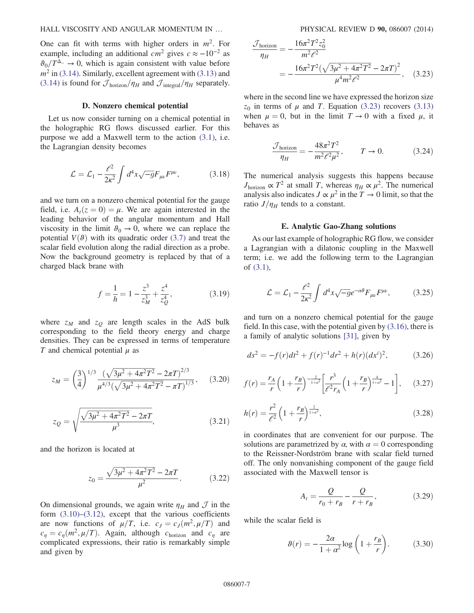One can fit with terms with higher orders in  $m<sup>2</sup>$ . For example, including an additional  $cm^2$  gives  $c \approx -10^{-2}$  as  $\theta_0/T^{\Delta_-} \to 0$ , which is again consistent with value before  $m<sup>2</sup>$  in [\(3.14\).](#page-4-0) Similarly, excellent agreement with [\(3.13\)](#page-4-1) and [\(3.14\)](#page-4-0) is found for  $\mathcal{J}_{\text{horizon}}/\eta_H$  and  $\mathcal{J}_{\text{integral}}/\eta_H$  separately.

#### D. Nonzero chemical potential

Let us now consider turning on a chemical potential in the holographic RG flows discussed earlier. For this purpose we add a Maxwell term to the action [\(3.1\)](#page-3-1), i.e. the Lagrangian density becomes

$$
\mathcal{L} = \mathcal{L}_1 - \frac{\ell^2}{2\kappa^2} \int d^4x \sqrt{-g} F_{\mu\nu} F^{\mu\nu}, \tag{3.18}
$$

and we turn on a nonzero chemical potential for the gauge field, i.e.  $A_t(z=0) = \mu$ . We are again interested in the leading behavior of the angular momentum and Hall viscosity in the limit  $\theta_0 \rightarrow 0$ , where we can replace the potential  $V(\theta)$  with its quadratic order [\(3.7\)](#page-3-4) and treat the scalar field evolution along the radial direction as a probe. Now the background geometry is replaced by that of a charged black brane with

$$
f = \frac{1}{h} = 1 - \frac{z^3}{z_M^3} + \frac{z^4}{z_Q^4},
$$
 (3.19)

where  $z_M$  and  $z_Q$  are length scales in the AdS bulk corresponding to the field theory energy and charge densities. They can be expressed in terms of temperature T and chemical potential  $\mu$  as

$$
z_M = \left(\frac{3}{4}\right)^{1/3} \frac{\left(\sqrt{3\mu^2 + 4\pi^2 T^2} - 2\pi T\right)^{2/3}}{\mu^{4/3} \left(\sqrt{3\mu^2 + 4\pi^2 T^2} - \pi T\right)^{1/3}},\qquad(3.20)
$$

$$
z_Q = \sqrt{\frac{\sqrt{3\mu^2 + 4\pi^2 T^2} - 2\pi T}{\mu^3}},
$$
\n(3.21)

and the horizon is located at

$$
z_0 = \frac{\sqrt{3\mu^2 + 4\pi^2 T^2} - 2\pi T}{\mu^2}.
$$
 (3.22)

<span id="page-6-0"></span>On dimensional grounds, we again write  $\eta_H$  and  $\mathcal J$  in the form  $(3.10)$ – $(3.12)$ , except that the various coefficients are now functions of  $\mu/T$ , i.e.  $c_J = c_J(m^2, \mu/T)$  and  $c_n = c_n(m^2, \mu/T)$ . Again, although  $c_{horizon}$  and  $c_n$  are complicated expressions, their ratio is remarkably simple and given by

$$
\frac{\mathcal{J}_{\text{horizon}}}{\eta_H} = -\frac{16\pi^2 T^2 z_0^2}{m^2 \ell^2} = -\frac{16\pi^2 T^2 (\sqrt{3\mu^2 + 4\pi^2 T^2} - 2\pi T)^2}{\mu^4 m^2 \ell^2}, \quad (3.23)
$$

where in the second line we have expressed the horizon size  $z_0$  in terms of  $\mu$  and T. Equation [\(3.23\)](#page-6-0) recovers [\(3.13\)](#page-4-1) when  $\mu = 0$ , but in the limit  $T \to 0$  with a fixed  $\mu$ , it behaves as

$$
\frac{\mathcal{J}_{\text{horizon}}}{\eta_H} = -\frac{48\pi^2 T^2}{m^2 \ell^2 \mu^2}, \qquad T \to 0. \tag{3.24}
$$

The numerical analysis suggests this happens because  $J_{\text{horizon}} \propto T^2$  at small T, whereas  $\eta_H \propto \mu^2$ . The numerical analysis also indicates  $J \propto \mu^2$  in the  $T \to 0$  limit, so that the ratio  $J/\eta_H$  tends to a constant.

#### E. Analytic Gao-Zhang solutions

As our last example of holographic RG flow, we consider a Lagrangian with a dilatonic coupling in the Maxwell term; i.e. we add the following term to the Lagrangian of [\(3.1\)](#page-3-1),

$$
\mathcal{L} = \mathcal{L}_1 - \frac{\ell^2}{2\kappa^2} \int d^4x \sqrt{-g} e^{-\alpha\theta} F_{\mu\nu} F^{\mu\nu}, \tag{3.25}
$$

<span id="page-6-1"></span>and turn on a nonzero chemical potential for the gauge field. In this case, with the potential given by [\(3.16\),](#page-4-3) there is a family of analytic solutions [\[31\]](#page-12-14), given by

$$
ds^{2} = -f(r)dt^{2} + f(r)^{-1}dr^{2} + h(r)(dx^{i})^{2}, \qquad (3.26)
$$

$$
f(r) = \frac{r_A}{r} \left( 1 + \frac{r_B}{r} \right)^{-\frac{2}{1+a^2}} \left[ \frac{r^3}{\ell^2 r_A} \left( 1 + \frac{r_B}{r} \right)^{\frac{4}{1+a^2}} - 1 \right], \quad (3.27)
$$

$$
h(r) = \frac{r^2}{\ell^2} \left( 1 + \frac{r_B}{r} \right)^{\frac{2}{1+\alpha^2}},\tag{3.28}
$$

in coordinates that are convenient for our purpose. The solutions are parametrized by  $\alpha$ , with  $\alpha = 0$  corresponding to the Reissner-Nordström brane with scalar field turned off. The only nonvanishing component of the gauge field associated with the Maxwell tensor is

$$
A_t = \frac{Q}{r_0 + r_B} - \frac{Q}{r + r_B},
$$
 (3.29)

<span id="page-6-2"></span>while the scalar field is

$$
\theta(r) = -\frac{2\alpha}{1+\alpha^2} \log\left(1 + \frac{r_B}{r}\right). \tag{3.30}
$$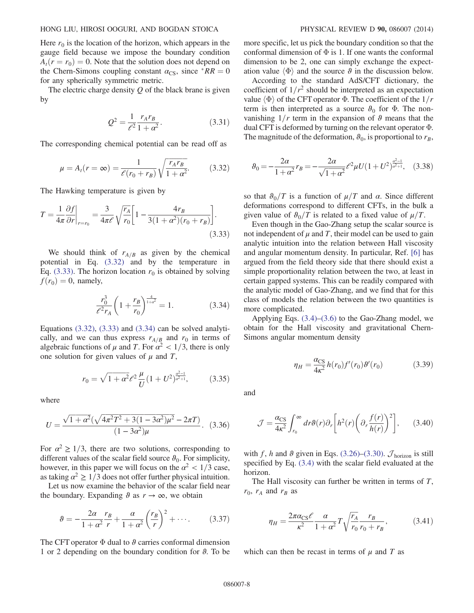Here  $r_0$  is the location of the horizon, which appears in the gauge field because we impose the boundary condition  $A_t(r = r_0) = 0$ . Note that the solution does not depend on the Chern-Simons coupling constant  $\alpha_{\text{CS}}$ , since  $^*RR = 0$ for any spherically symmetric metric.

The electric charge density  $Q$  of the black brane is given by

$$
Q^2 = \frac{1}{\ell^2} \frac{r_A r_B}{1 + \alpha^2}.
$$
 (3.31)

<span id="page-7-0"></span>The corresponding chemical potential can be read off as

$$
\mu = A_t(r = \infty) = \frac{1}{\ell(r_0 + r_B)} \sqrt{\frac{r_A r_B}{1 + \alpha^2}}.
$$
 (3.32)

<span id="page-7-1"></span>The Hawking temperature is given by

$$
T = \frac{1}{4\pi} \frac{\partial f}{\partial r} \bigg|_{r=r_0} = \frac{3}{4\pi \ell} \sqrt{\frac{r_A}{r_0}} \bigg[ 1 - \frac{4r_B}{3(1+\alpha^2)(r_0 + r_B)} \bigg].
$$
\n(3.33)

<span id="page-7-2"></span>We should think of  $r_{A/B}$  as given by the chemical potential in Eq. [\(3.32\)](#page-7-0) and by the temperature in Eq. [\(3.33\).](#page-7-1) The horizon location  $r_0$  is obtained by solving  $f(r_0) = 0$ , namely,

$$
\frac{r_0^3}{\ell^2 r_A} \left( 1 + \frac{r_B}{r_0} \right)^{\frac{4}{1+\alpha^2}} = 1. \tag{3.34}
$$

Equations  $(3.32)$ ,  $(3.33)$  and  $(3.34)$  can be solved analytically, and we can thus express  $r_{A/B}$  and  $r_0$  in terms of algebraic functions of  $\mu$  and T. For  $\alpha^2 < 1/3$ , there is only one solution for given values of  $\mu$  and T,

$$
r_0 = \sqrt{1 + \alpha^2} \ell^2 \frac{\mu}{U} (1 + U^2)^{\frac{a^2 - 1}{a^2 + 1}}, \tag{3.35}
$$

<span id="page-7-4"></span>where

$$
U = \frac{\sqrt{1 + \alpha^2} (\sqrt{4\pi^2 T^2 + 3(1 - 3\alpha^2)\mu^2} - 2\pi T)}{(1 - 3\alpha^2)\mu}.
$$
 (3.36)

For  $\alpha^2 \ge 1/3$ , there are two solutions, corresponding to different values of the scalar field source  $\vartheta_0$ . For simplicity, however, in this paper we will focus on the  $\alpha^2 < 1/3$  case, as taking  $\alpha^2 \geq 1/3$  does not offer further physical intuition.

Let us now examine the behavior of the scalar field near the boundary. Expanding  $\vartheta$  as  $r \to \infty$ , we obtain

$$
\vartheta = -\frac{2\alpha}{1+\alpha^2} \frac{r_B}{r} + \frac{\alpha}{1+\alpha^2} \left(\frac{r_B}{r}\right)^2 + \cdots. \tag{3.37}
$$

The CFT operator  $\Phi$  dual to  $\theta$  carries conformal dimension 1 or 2 depending on the boundary condition for  $\theta$ . To be more specific, let us pick the boundary condition so that the conformal dimension of  $\Phi$  is 1. If one wants the conformal dimension to be 2, one can simply exchange the expectation value  $\langle \Phi \rangle$  and the source  $\vartheta$  in the discussion below.

According to the standard AdS/CFT dictionary, the coefficient of  $1/r^2$  should be interpreted as an expectation value  $\langle \Phi \rangle$  of the CFT operator  $\Phi$ . The coefficient of the  $1/r$ term is then interpreted as a source  $\theta_0$  for  $\Phi$ . The nonvanishing  $1/r$  term in the expansion of  $\theta$  means that the dual CFT is deformed by turning on the relevant operator Φ. The magnitude of the deformation,  $\theta_0$ , is proportional to  $r_B$ ,

$$
\vartheta_0 = -\frac{2\alpha}{1+\alpha^2} r_B = -\frac{2\alpha}{\sqrt{1+\alpha^2}} \ell^2 \mu U (1+U^2)^{\frac{\alpha^2-1}{\alpha^2+1}}, \quad (3.38)
$$

so that  $\partial_0/T$  is a function of  $\mu/T$  and  $\alpha$ . Since different deformations correspond to different CFTs, in the bulk a given value of  $\theta_0/T$  is related to a fixed value of  $\mu/T$ .

Even though in the Gao-Zhang setup the scalar source is not independent of  $\mu$  and T, their model can be used to gain analytic intuition into the relation between Hall viscosity and angular momentum density. In particular, Ref. [\[6\]](#page-12-2) has argued from the field theory side that there should exist a simple proportionality relation between the two, at least in certain gapped systems. This can be readily compared with the analytic model of Gao-Zhang, and we find that for this class of models the relation between the two quantities is more complicated.

Applying Eqs. [\(3.4\)](#page-3-2)–[\(3.6\)](#page-3-3) to the Gao-Zhang model, we obtain for the Hall viscosity and gravitational Chern-Simons angular momentum density

$$
\eta_H = \frac{\alpha_{\rm CS}}{4\kappa^2} h(r_0) f'(r_0) \vartheta'(r_0)
$$
\n(3.39)

<span id="page-7-3"></span>and

$$
\mathcal{J} = \frac{\alpha_{\rm CS}}{4\kappa^2} \int_{r_0}^{\infty} dr \vartheta(r) \partial_r \left[ h^2(r) \left( \partial_r \frac{f(r)}{h(r)} \right)^2 \right],\qquad(3.40)
$$

with f, h and  $\theta$  given in Eqs. [\(3.26\)](#page-6-1)–[\(3.30\)](#page-6-2).  $\mathcal{J}_{\text{horizon}}$  is still specified by Eq. [\(3.4\)](#page-3-2) with the scalar field evaluated at the horizon.

The Hall viscosity can further be written in terms of  $T$ ,  $r_0$ ,  $r_A$  and  $r_B$  as

$$
\eta_H = \frac{2\pi\alpha_{\rm CS}\ell}{\kappa^2} \frac{\alpha}{1 + \alpha^2} T \sqrt{\frac{r_A}{r_0}} \frac{r_B}{r_0 + r_B},\tag{3.41}
$$

which can then be recast in terms of  $\mu$  and T as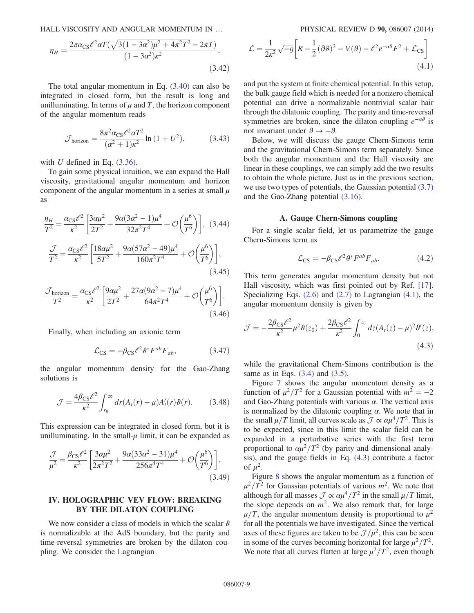$$
\eta_H = \frac{2\pi\alpha_{\rm CS}t^2\alpha T(\sqrt{3(1-3\alpha^2)\mu^2+4\pi^2T^2-2\pi T})}{(1-3\alpha^2)\kappa^2}.
$$
\n(3.42)

The total angular momentum in Eq. [\(3.40\)](#page-7-3) can also be integrated in closed form, but the result is long and unilluminating. In terms of  $\mu$  and T, the horizon component of the angular momentum reads

$$
\mathcal{J}_{\text{horizon}} = \frac{8\pi^2 \alpha_{\text{CS}} \ell^2 \alpha T^2}{(\alpha^2 + 1)\kappa^2} \ln\left(1 + U^2\right),\tag{3.43}
$$

with  $U$  defined in Eq.  $(3.36)$ .

To gain some physical intuition, we can expand the Hall viscosity, gravitational angular momentum and horizon component of the angular momentum in a series at small  $\mu$ as

$$
\frac{\eta_H}{T^2} = \frac{\alpha_{\rm CS} \ell^2}{\kappa^2} \left[ \frac{3\alpha \mu^2}{2T^2} + \frac{9\alpha (3\alpha^2 - 1)\mu^4}{32\pi^2 T^4} + \mathcal{O}\left(\frac{\mu^6}{T^6}\right) \right], \quad (3.44)
$$

$$
\frac{\mathcal{J}}{T^2} = \frac{\alpha_{\rm CS} \ell^2}{\kappa^2} \left[ \frac{18\alpha \mu^2}{5T^2} + \frac{9\alpha (57\alpha^2 - 49)\mu^4}{160\pi^2 T^4} + \mathcal{O}\left(\frac{\mu^6}{T^6}\right) \right], \quad (3.45)
$$

$$
\frac{\mathcal{J}_{\text{horizon}}}{T^2} = \frac{\alpha_{\text{CS}}\ell^2}{\kappa^2} \left[ \frac{9\alpha\mu^2}{2T^2} + \frac{27\alpha(9\alpha^2 - 7)\mu^4}{64\pi^2 T^4} + \mathcal{O}\left(\frac{\mu^6}{T^6}\right) \right].
$$
\n(3.46)

Finally, when including an axionic term

$$
\mathcal{L}_{\text{CS}} = -\beta_{\text{CS}} \ell^2 \vartheta^* F^{ab} F_{ab},\tag{3.47}
$$

the angular momentum density for the Gao-Zhang solutions is

$$
\mathcal{J} = \frac{4\beta_{\rm CS}\ell^2}{\kappa^2} \int_{r_0}^{\infty} dr (A_t(r) - \mu) A_t'(r) \vartheta(r). \tag{3.48}
$$

This expression can be integrated in closed form, but it is unilluminating. In the small- $\mu$  limit, it can be expanded as

$$
\frac{\mathcal{J}}{\mu^2} = \frac{\beta_{\rm CS} \ell^2}{\kappa^2} \left[ \frac{3\alpha \mu^2}{2\pi^2 T^2} + \frac{9\alpha (33\alpha^2 - 31)\mu^4}{256\pi^4 T^4} + \mathcal{O}\left(\frac{\mu^6}{T^6}\right) \right].
$$
\n(3.49)

# <span id="page-8-0"></span>IV. HOLOGRAPHIC VEV FLOW: BREAKING BY THE DILATON COUPLING

<span id="page-8-1"></span>We now consider a class of models in which the scalar  $\vartheta$ is normalizable at the AdS boundary, but the parity and time-reversal symmetries are broken by the dilaton coupling. We consider the Lagrangian

$$
\mathcal{L} = \frac{1}{2\kappa^2} \sqrt{-g} \left[ R - \frac{1}{2} (\partial \theta)^2 - V(\theta) - \ell^2 e^{-\alpha \theta} F^2 + \mathcal{L}_{\text{CS}} \right]
$$
\n(4.1)

and put the system at finite chemical potential. In this setup, the bulk gauge field which is needed for a nonzero chemical potential can drive a normalizable nontrivial scalar hair through the dilatonic coupling. The parity and time-reversal symmetries are broken, since the dilaton coupling  $e^{-\alpha\theta}$  is not invariant under  $\theta \rightarrow -\theta$ .

Below, we will discuss the gauge Chern-Simons term and the gravitational Chern-Simons term separately. Since both the angular momentum and the Hall viscosity are linear in these couplings, we can simply add the two results to obtain the whole picture. Just as in the previous section, we use two types of potentials, the Gaussian potential  $(3.7)$ and the Gao-Zhang potential [\(3.16\)](#page-4-3).

### A. Gauge Chern-Simons coupling

For a single scalar field, let us parametrize the gauge Chern-Simons term as

$$
\mathcal{L}_{\text{CS}} = -\beta_{\text{CS}} \ell^2 \vartheta^* F^{ab} F_{ab}.
$$
 (4.2)

<span id="page-8-2"></span>This term generates angular momentum density but not Hall viscosity, which was first pointed out by Ref. [\[17\]](#page-12-5). Specializing Eqs.  $(2.6)$  and  $(2.7)$  to Lagrangian  $(4.1)$ , the angular momentum density is given by

$$
\mathcal{J} = -\frac{2\beta_{\rm CS} \ell^2}{\kappa^2} \mu^2 \vartheta(z_0) + \frac{2\beta_{\rm CS} \ell^2}{\kappa^2} \int_0^{z_0} dz (A_t(z) - \mu)^2 \vartheta'(z), \tag{4.3}
$$

while the gravitational Chern-Simons contribution is the same as in Eqs.  $(3.4)$  and  $(3.5)$ .

Figure [7](#page-9-0) shows the angular momentum density as a function of  $\mu^2/T^2$  for a Gaussian potential with  $m^2 = -2$ and Gao-Zhang potentials with various  $\alpha$ . The vertical axis is normalized by the dilatonic coupling  $\alpha$ . We note that in the small  $\mu/T$  limit, all curves scale as  $\mathcal{J} \propto \alpha \mu^4/T^2$ . This is to be expected, since in this limit the scalar field can be expanded in a perturbative series with the first term proportional to  $\alpha \mu^2/T^2$  (by parity and dimensional analysis), and the gauge fields in Eq. [\(4.3\)](#page-8-2) contribute a factor of  $\mu^2$ .

Figure [8](#page-9-1) shows the angular momentum as a function of  $\mu^2/T^2$  for Gaussian potentials of various  $m^2$ . We note that although for all masses  $\mathcal{J} \propto \alpha \mu^4/T^2$  in the small  $\mu/T$  limit, the slope depends on  $m^2$ . We also remark that, for large  $\mu/T$ , the angular momentum density is proportional to  $\mu^2$ for all the potentials we have investigated. Since the vertical axes of these figures are taken to be  $\mathcal{J}/\mu^2$ , this can be seen in some of the curves becoming horizontal for large  $\mu^2/T^2$ . We note that all curves flatten at large  $\mu^2/T^2$ , even though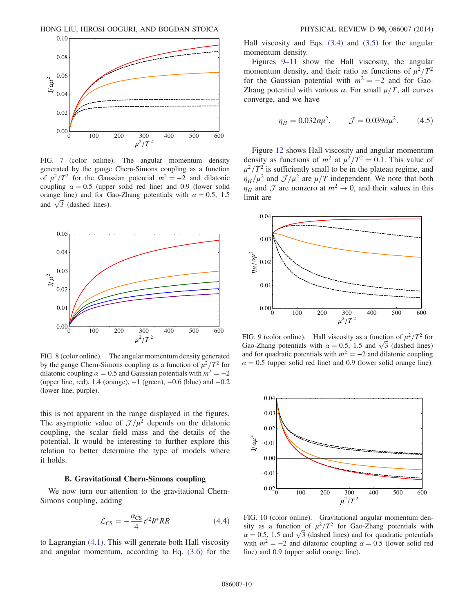<span id="page-9-0"></span>

FIG. 7 (color online). The angular momentum density generated by the gauge Chern-Simons coupling as a function of  $\mu^2/T^2$  for the Gaussian potential  $m^2 = -2$  and dilatonic coupling  $\alpha = 0.5$  (upper solid red line) and 0.9 (lower solid orange line) and for Gao-Zhang potentials with  $\alpha = 0.5, 1.5$ and  $\sqrt{3}$  (dashed lines).

<span id="page-9-1"></span>

FIG. 8 (color online). The angular momentum density generated by the gauge Chern-Simons coupling as a function of  $\mu^2/T^2$  for dilatonic coupling  $\alpha = 0.5$  and Gaussian potentials with  $m^2 = -2$ (upper line, red), 1.4 (orange),  $-1$  (green),  $-0.6$  (blue) and  $-0.2$ (lower line, purple).

this is not apparent in the range displayed in the figures. The asymptotic value of  $\mathcal{J}/\mu^2$  depends on the dilatonic coupling, the scalar field mass and the details of the potential. It would be interesting to further explore this relation to better determine the type of models where it holds.

#### B. Gravitational Chern-Simons coupling

We now turn our attention to the gravitational Chern-Simons coupling, adding

$$
\mathcal{L}_{\text{CS}} = -\frac{\alpha_{\text{CS}}}{4} \ell^2 \vartheta^* RR \tag{4.4}
$$

to Lagrangian [\(4.1\)](#page-8-1). This will generate both Hall viscosity and angular momentum, according to Eq. [\(3.6\)](#page-3-3) for the Hall viscosity and Eqs. [\(3.4\)](#page-3-2) and [\(3.5\)](#page-3-6) for the angular momentum density.

Figures 9–[11](#page-9-2) show the Hall viscosity, the angular momentum density, and their ratio as functions of  $\mu^2/T^2$ for the Gaussian potential with  $m^2 = -2$  and for Gao-Zhang potential with various  $\alpha$ . For small  $\mu/T$ , all curves converge, and we have

$$
\eta_H = 0.032 \alpha \mu^2
$$
,  $\mathcal{J} = 0.039 \alpha \mu^2$ . (4.5)

Figure [12](#page-10-1) shows Hall viscosity and angular momentum density as functions of  $m^2$  at  $\mu^2/T^2 = 0.1$ . This value of  $\mu^2/T^2$  is sufficiently small to be in the plateau regime, and  $\eta_H/\mu^2$  and  $\mathcal{J}/\mu^2$  are  $\mu/T$  independent. We note that both  $\eta_H$  and  $\mathcal J$  are nonzero at  $m^2 \to 0$ , and their values in this limit are

<span id="page-9-2"></span>

FIG. 9 (color online). Hall viscosity as a function of  $\mu^2/T^2$  for Gao-Zhang potentials with  $\alpha = 0.5$ , 1.5 and  $\sqrt{3}$  (dashed lines) and for quadratic potentials with  $m^2 = -2$  and dilatonic coupling  $\alpha = 0.5$  (upper solid red line) and 0.9 (lower solid orange line).



FIG. 10 (color online). Gravitational angular momentum density as a function of  $\mu^2/T^2$  for Gao-Zhang potentials with  $\alpha = 0.5$ , 1.5 and  $\sqrt{3}$  (dashed lines) and for quadratic potentials with  $m^2 = -2$  and dilatonic coupling  $\alpha = 0.5$  (lower solid red line) and 0.9 (upper solid orange line).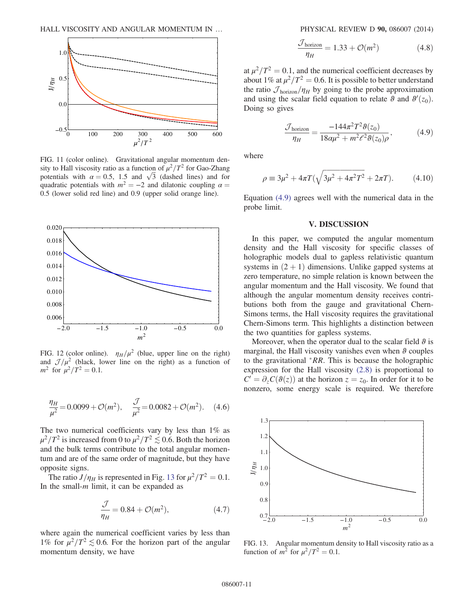

FIG. 11 (color online). Gravitational angular momentum density to Hall viscosity ratio as a function of  $\mu^2/T^2$  for Gao-Zhang potentials with  $\alpha = 0.5$ , 1.5 and  $\sqrt{3}$  (dashed lines) and for quadratic potentials with  $m^2 = -2$  and dilatonic coupling  $\alpha =$ 0.5 (lower solid red line) and 0.9 (upper solid orange line).

<span id="page-10-1"></span>

FIG. 12 (color online).  $\eta_H/\mu^2$  (blue, upper line on the right) and  $\mathcal{J}/\mu^2$  (black, lower line on the right) as a function of  $m^2$  for  $\mu^2/T^2 = 0.1$ .

$$
\frac{\eta_H}{\mu^2} = 0.0099 + \mathcal{O}(m^2), \quad \frac{\mathcal{J}}{\mu^2} = 0.0082 + \mathcal{O}(m^2). \quad (4.6)
$$

The two numerical coefficients vary by less than  $1\%$  as  $\mu^2/T^2$  is increased from 0 to  $\mu^2/T^2 \le 0.6$ . Both the horizon and the bulk terms contribute to the total angular momentum and are of the same order of magnitude, but they have opposite signs.

The ratio  $J/\eta_H$  is represented in Fig. [13](#page-10-2) for  $\mu^2/T^2 = 0.1$ . In the small- $m$  limit, it can be expanded as

$$
\frac{\mathcal{J}}{\eta_H} = 0.84 + \mathcal{O}(m^2),\tag{4.7}
$$

where again the numerical coefficient varies by less than 1% for  $\mu^2/T^2 \lesssim 0.6$ . For the horizon part of the angular momentum density, we have

$$
\frac{\mathcal{J}_{\text{horizon}}}{\eta_H} = 1.33 + \mathcal{O}(m^2)
$$
 (4.8)

<span id="page-10-3"></span>at  $\mu^2/T^2 = 0.1$ , and the numerical coefficient decreases by about 1% at  $\mu^2/T^2 = 0.6$ . It is possible to better understand the ratio  $\mathcal{J}_{\text{horizon}}/\eta_H$  by going to the probe approximation and using the scalar field equation to relate  $\theta$  and  $\theta'(z_0)$ . Doing so gives

$$
\frac{\mathcal{J}_{\text{horizon}}}{\eta_H} = \frac{-144\pi^2 T^2 \theta(z_0)}{18\alpha\mu^2 + m^2 \ell^2 \theta(z_0)\rho},\tag{4.9}
$$

where

$$
\rho \equiv 3\mu^2 + 4\pi T(\sqrt{3\mu^2 + 4\pi^2 T^2} + 2\pi T). \tag{4.10}
$$

Equation [\(4.9\)](#page-10-3) agrees well with the numerical data in the probe limit.

#### V. DISCUSSION

<span id="page-10-0"></span>In this paper, we computed the angular momentum density and the Hall viscosity for specific classes of holographic models dual to gapless relativistic quantum systems in  $(2 + 1)$  dimensions. Unlike gapped systems at zero temperature, no simple relation is known between the angular momentum and the Hall viscosity. We found that although the angular momentum density receives contributions both from the gauge and gravitational Chern-Simons terms, the Hall viscosity requires the gravitational Chern-Simons term. This highlights a distinction between the two quantities for gapless systems.

Moreover, when the operator dual to the scalar field  $\theta$  is marginal, the Hall viscosity vanishes even when  $\theta$  couples to the gravitational  $*RR$ . This is because the holographic expression for the Hall viscosity [\(2.8\)](#page-2-4) is proportional to  $C' = \partial_z C(\vartheta(z))$  at the horizon  $z = z_0$ . In order for it to be nonzero, some energy scale is required. We therefore

<span id="page-10-2"></span>

FIG. 13. Angular momentum density to Hall viscosity ratio as a function of  $m^2$  for  $\mu^2/T^2 = 0.1$ .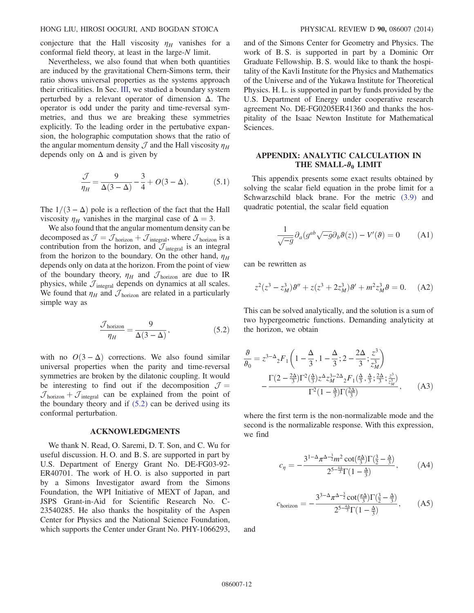conjecture that the Hall viscosity  $\eta_H$  vanishes for a conformal field theory, at least in the large-N limit.

Nevertheless, we also found that when both quantities are induced by the gravitational Chern-Simons term, their ratio shows universal properties as the systems approach their criticalities. In Sec. [III](#page-3-0), we studied a boundary system perturbed by a relevant operator of dimension Δ. The operator is odd under the parity and time-reversal symmetries, and thus we are breaking these symmetries explicitly. To the leading order in the pertubative expansion, the holographic computation shows that the ratio of the angular momentum density  $\mathcal J$  and the Hall viscosity  $\eta_H$ depends only on  $\Delta$  and is given by

$$
\frac{\mathcal{J}}{\eta_H} = \frac{9}{\Delta(3-\Delta)} - \frac{3}{4} + O(3-\Delta). \tag{5.1}
$$

The  $1/(3 - \Delta)$  pole is a reflection of the fact that the Hall viscosity  $\eta_H$  vanishes in the marginal case of  $\Delta = 3$ .

We also found that the angular momentum density can be decomposed as  $\mathcal{J} = \mathcal{J}_{\text{horizon}} + \mathcal{J}_{\text{integral}}$ , where  $\mathcal{J}_{\text{horizon}}$  is a contribution from the horizon, and  $\check{\mathcal{J}}_{\text{integral}}$  is an integral from the horizon to the boundary. On the other hand,  $\eta_H$ depends only on data at the horizon. From the point of view of the boundary theory,  $\eta_H$  and  $\mathcal{J}_{\text{horizon}}$  are due to IR physics, while  $\mathcal{J}_{\text{integral}}$  depends on dynamics at all scales. We found that  $\eta_H$  and  $\mathcal{J}_{\text{horizon}}$  are related in a particularly simple way as

$$
\frac{\mathcal{J}_{\text{horizon}}}{\eta_H} = \frac{9}{\Delta(3-\Delta)},\tag{5.2}
$$

<span id="page-11-0"></span>with no  $O(3 - \Delta)$  corrections. We also found similar universal properties when the parity and time-reversal symmetries are broken by the dilatonic coupling. It would be interesting to find out if the decomposition  $\mathcal{J} =$  $\mathcal{J}_{\text{horizon}} + \mathcal{J}_{\text{integral}}$  can be explained from the point of the boundary theory and if  $(5.2)$  can be derived using its conformal perturbation.

### ACKNOWLEDGMENTS

We thank N. Read, O. Saremi, D. T. Son, and C. Wu for useful discussion. H. O. and B. S. are supported in part by U.S. Department of Energy Grant No. DE-FG03-92- ER40701. The work of H. O. is also supported in part by a Simons Investigator award from the Simons Foundation, the WPI Initiative of MEXT of Japan, and JSPS Grant-in-Aid for Scientific Research No. C-23540285. He also thanks the hospitality of the Aspen Center for Physics and the National Science Foundation, which supports the Center under Grant No. PHY-1066293, and of the Simons Center for Geometry and Physics. The work of B. S. is supported in part by a Dominic Orr Graduate Fellowship. B. S. would like to thank the hospitality of the Kavli Institute for the Physics and Mathematics of the Universe and of the Yukawa Institute for Theoretical Physics. H. L. is supported in part by funds provided by the U.S. Department of Energy under cooperative research agreement No. DE-FG0205ER41360 and thanks the hospitality of the Isaac Newton Institute for Mathematical Sciences.

# APPENDIX: ANALYTIC CALCULATION IN THE SMALL- $\theta_0$  LIMIT

This appendix presents some exact results obtained by solving the scalar field equation in the probe limit for a Schwarzschild black brane. For the metric [\(3.9\)](#page-3-7) and quadratic potential, the scalar field equation

$$
\frac{1}{\sqrt{-g}}\partial_a(g^{ab}\sqrt{-g}\partial_b\vartheta(z)) - V'(\vartheta) = 0 \tag{A1}
$$

can be rewritten as

$$
z^{2}(z^{3}-z_{M}^{3})\theta'' + z(z^{3}+2z_{M}^{3})\theta' + m^{2}z_{M}^{3}\theta = 0.
$$
 (A2)

This can be solved analytically, and the solution is a sum of two hypergeometric functions. Demanding analyticity at the horizon, we obtain

$$
\frac{\vartheta}{\vartheta_{0}} = z^{3-\Delta} {}_{2}F_{1}\left(1 - \frac{\Delta}{3}, 1 - \frac{\Delta}{3}; 2 - \frac{2\Delta}{3}; \frac{z^{3}}{z_{M}^{3}}\right) - \frac{\Gamma(2 - \frac{2\Delta}{3})\Gamma^{2}(\frac{\Delta}{3})z^{\Delta}z_{M}^{3-2\Delta}{}_{2}F_{1}(\frac{\Delta}{3}, \frac{\Delta}{3}; \frac{2\Delta}{3}; \frac{z^{3}}{z_{M}^{3}})}{\Gamma^{2}(1 - \frac{\Delta}{3})\Gamma(\frac{2\Delta}{3})}, \quad (A3)
$$

where the first term is the non-normalizable mode and the second is the normalizable response. With this expression, we find

$$
c_{\eta} = -\frac{3^{1-\Delta}\pi^{\Delta-\frac{3}{2}}m^2\cot(\frac{\pi\Delta}{3})\Gamma(\frac{3}{2}-\frac{\Delta}{3})}{2^{5-\frac{4\Delta}{3}}\Gamma(1-\frac{\Delta}{3})},\tag{A4}
$$

$$
c_{\text{horizon}} = -\frac{3^{3-\Delta}\pi^{\Delta-\frac{3}{2}}\cot(\frac{\pi\Delta}{3})\Gamma(\frac{3}{2}-\frac{\Delta}{3})}{2^{5-\frac{4\Delta}{3}}\Gamma(1-\frac{\Delta}{3})},\tag{A5}
$$

and